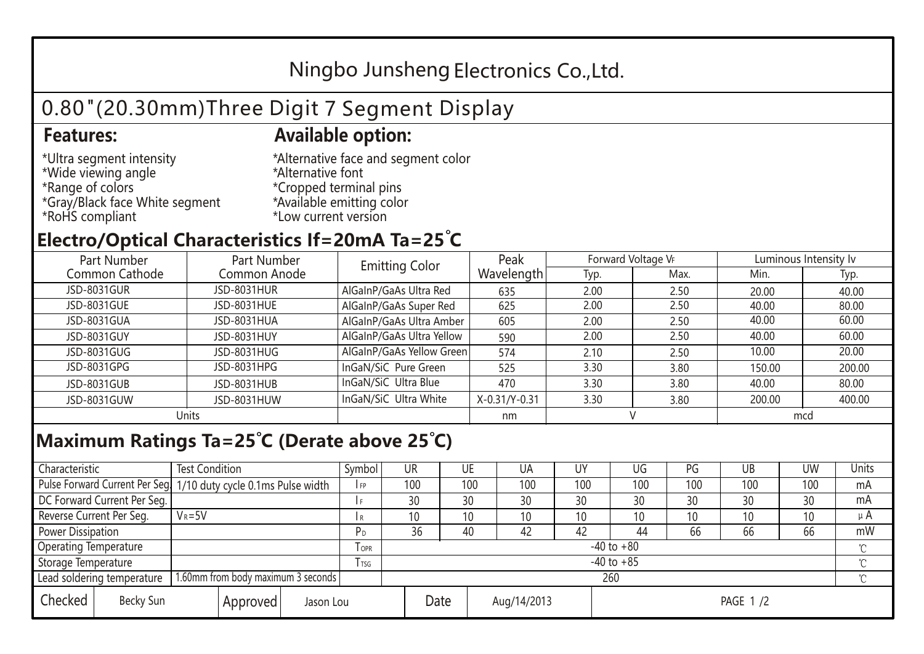## Ningbo Junsheng Electronics Co.,Ltd.

# 0.80"(20.30mm)Three Digit 7 Segment Display

### **Features: Available option:**

- \*Ultra segment intensity \*Wide viewing angle \*Range of colors \*Gray/Black face White segment \*RoHS compliant
- \*Alternative face and segment color \*Alternative font \*Cropped terminal pins \*Available emitting color \*Low current version

### **Electro/Optical Characteristics If=20mA Ta=25 C**

| Part Number    | Part Number  | <b>Emitting Color</b>     | Peak          | Forward Voltage VF |      | Luminous Intensity Iv |        |  |
|----------------|--------------|---------------------------|---------------|--------------------|------|-----------------------|--------|--|
| Common Cathode | Common Anode |                           | Wavelength    | Typ.               | Max. | Min.                  | Typ.   |  |
| JSD-8031GUR    | JSD-8031HUR  | AlGaInP/GaAs Ultra Red    | 635           | 2.00               | 2.50 | 20.00                 | 40.00  |  |
| JSD-8031GUE    | JSD-8031HUE  | AlGaInP/GaAs Super Red    | 625           | 2.00               | 2.50 | 40.00                 | 80.00  |  |
| JSD-8031GUA    | JSD-8031HUA  | AlGaInP/GaAs Ultra Amber  | 605           | 2.00               | 2.50 | 40.00                 | 60.00  |  |
| JSD-8031GUY    | JSD-8031HUY  | AlGaInP/GaAs Ultra Yellow | 590           | 2.00               | 2.50 | 40.00                 | 60.00  |  |
| JSD-8031GUG    | JSD-8031HUG  | AlGaInP/GaAs Yellow Green | 574           | 2.10               | 2.50 | 10.00                 | 20.00  |  |
| JSD-8031GPG    | JSD-8031HPG  | InGaN/SiC Pure Green      | 525           | 3.30               | 3.80 | 150.00                | 200.00 |  |
| JSD-8031GUB    | JSD-8031HUB  | InGaN/SiC Ultra Blue      | 470           | 3.30               | 3.80 | 40.00                 | 80.00  |  |
| JSD-8031GUW    | JSD-8031HUW  | InGaN/SiC Ultra White     | X-0.31/Y-0.31 | 3.30               | 3.80 | 200.00                | 400.00 |  |
| Units          |              |                           | nm            |                    |      | mcd                   |        |  |

### **Maximum Ratings Ta=25°C (Derate above 25°C)**

| Characteristic                                |            | <b>Test Condition</b><br>Symbol                                  |                |                     | UR              |  | UE  | UA       | UY  | UG  | PG  | UB              | <b>UW</b> | <b>Units</b> |
|-----------------------------------------------|------------|------------------------------------------------------------------|----------------|---------------------|-----------------|--|-----|----------|-----|-----|-----|-----------------|-----------|--------------|
|                                               |            | Pulse Forward Current Per Seg. 1/10 duty cycle 0.1ms Pulse width |                |                     | 100             |  | 100 | 100      | 100 | 100 | 100 | 100             | 100       | mA           |
| DC Forward Current Per Seg.                   |            |                                                                  |                |                     | 30              |  | 30  | 30       | 30  | 30  | 30  | 30              | 30        | mA           |
| Reverse Current Per Seg.                      | $V_R = 5V$ |                                                                  |                | I R                 | 10 <sup>°</sup> |  | 10  | 10       | 10  | 10  | 10  | 10 <sup>°</sup> | 10        | $\mu$ A      |
| <b>Power Dissipation</b>                      |            |                                                                  |                |                     | 36              |  | 40  | 42       | 42  | 44  | 66  | 66              | 66        | mW           |
| <b>Operating Temperature</b>                  |            |                                                                  | <b>OPR</b>     | $-40$ to $+80$      |                 |  |     |          |     |     |     |                 | $\sim$    |              |
| Storage Temperature                           |            | <b>I</b> TSG                                                     | $-40$ to $+85$ |                     |                 |  |     |          |     |     |     | $\sim$          |           |              |
| Lead soldering temperature                    |            | 1.60mm from body maximum 3 seconds                               |                |                     | 260<br>$\gamma$ |  |     |          |     |     |     |                 |           |              |
| Checked<br>Becky Sun<br>Approved<br>Jason Lou |            |                                                                  |                | Date<br>Aug/14/2013 |                 |  |     | PAGE 1/2 |     |     |     |                 |           |              |